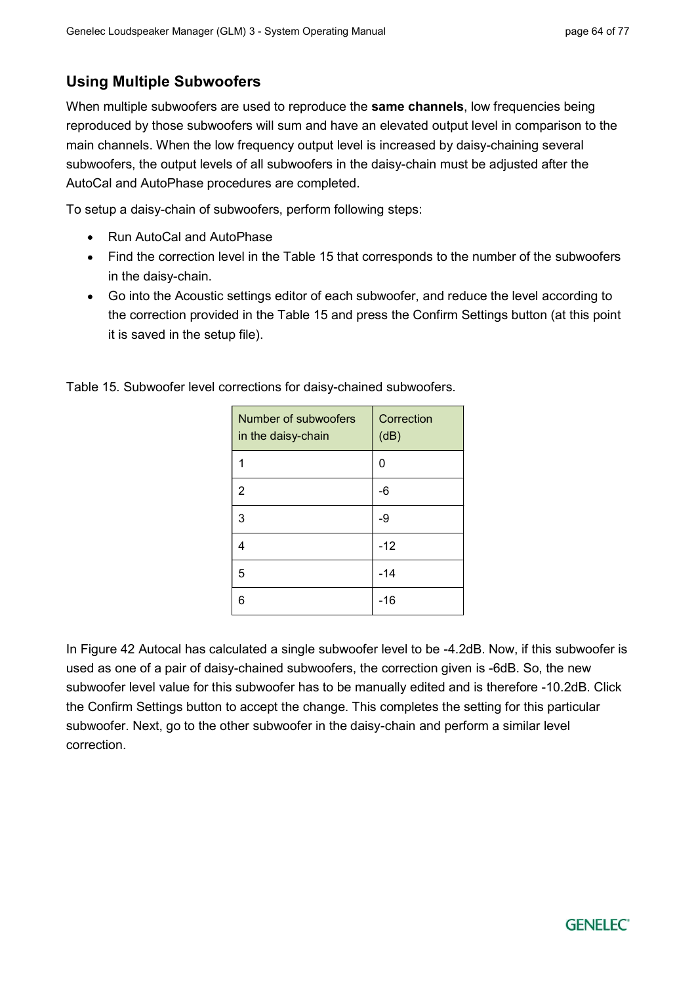## Using Multiple Subwoofers

When multiple subwoofers are used to reproduce the **same channels**, low frequencies being reproduced by those subwoofers will sum and have an elevated output level in comparison to the main channels. When the low frequency output level is increased by daisy-chaining several subwoofers, the output levels of all subwoofers in the daisy-chain must be adjusted after the AutoCal and AutoPhase procedures are completed.

To setup a daisy-chain of subwoofers, perform following steps:

- Run AutoCal and AutoPhase
- Find the correction level in the Table 15 that corresponds to the number of the subwoofers in the daisy-chain.
- Go into the Acoustic settings editor of each subwoofer, and reduce the level according to the correction provided in the Table 15 and press the Confirm Settings button (at this point it is saved in the setup file).

| Number of subwoofers<br>in the daisy-chain | Correction<br>(dB) |
|--------------------------------------------|--------------------|
|                                            | 0                  |
| 2                                          | -6                 |
| 3                                          | -9                 |
| 4                                          | $-12$              |
| 5                                          | $-14$              |
| 6                                          | -16                |

Table 15. Subwoofer level corrections for daisy-chained subwoofers.

In Figure 42 Autocal has calculated a single subwoofer level to be -4.2dB. Now, if this subwoofer is used as one of a pair of daisy-chained subwoofers, the correction given is -6dB. So, the new subwoofer level value for this subwoofer has to be manually edited and is therefore -10.2dB. Click the Confirm Settings button to accept the change. This completes the setting for this particular subwoofer. Next, go to the other subwoofer in the daisy-chain and perform a similar level correction.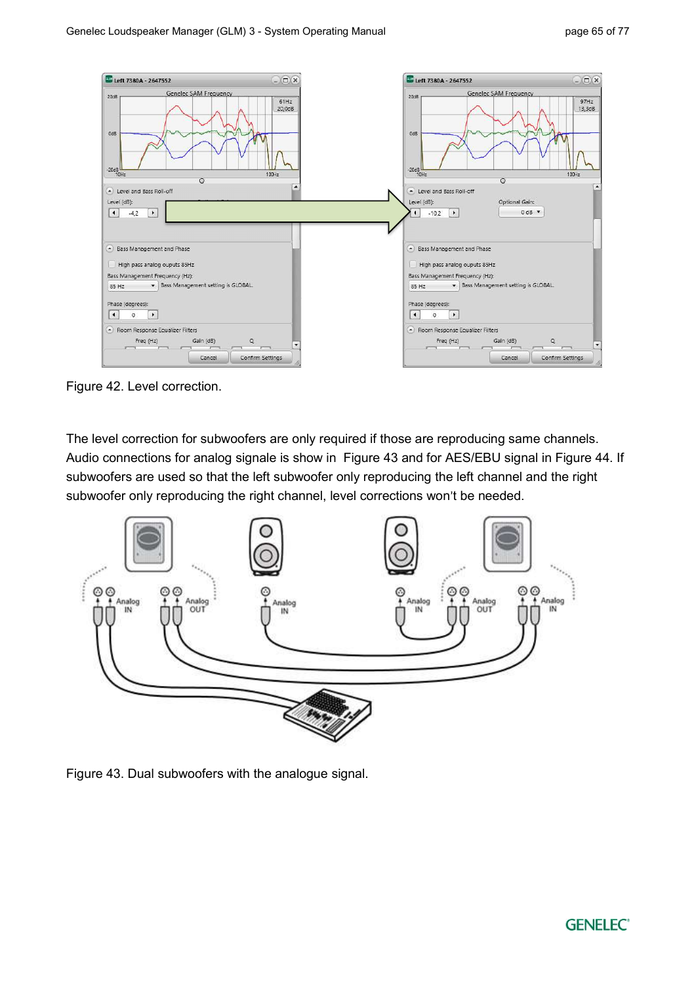

Figure 42. Level correction.

 The level correction for subwoofers are only required if those are reproducing same channels. Audio connections for analog signale is show in Figure 43 and for AES/EBU signal in Figure 44. If subwoofers are used so that the left subwoofer only reproducing the left channel and the right subwoofer only reproducing the right channel, level corrections won't be needed.



Figure 43. Dual subwoofers with the analogue signal.